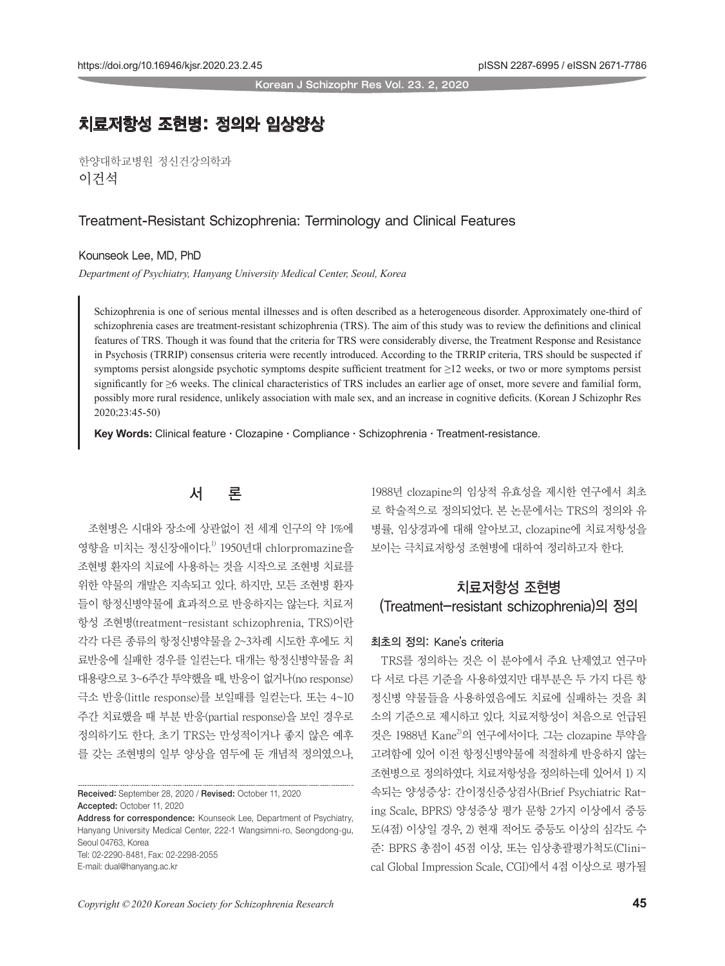Korean J Schizophr Res Vol. 23. 2, 2020

# 치료저항성 조현병: 정의와 임상양상

한양대학교병원 정신건강의학과 이건석

### Treatment-Resistant Schizophrenia: Terminology and Clinical Features

Kounseok Lee, MD, PhD

*Department of Psychiatry, Hanyang University Medical Center, Seoul, Korea*

Schizophrenia is one of serious mental illnesses and is often described as a heterogeneous disorder. Approximately one-third of schizophrenia cases are treatment-resistant schizophrenia (TRS). The aim of this study was to review the definitions and clinical features of TRS. Though it was found that the criteria for TRS were considerably diverse, the Treatment Response and Resistance in Psychosis (TRRIP) consensus criteria were recently introduced. According to the TRRIP criteria, TRS should be suspected if symptoms persist alongside psychotic symptoms despite sufficient treatment for ≥12 weeks, or two or more symptoms persist significantly for ≥6 weeks. The clinical characteristics of TRS includes an earlier age of onset, more severe and familial form, possibly more rural residence, unlikely association with male sex, and an increase in cognitive deficits. (Korean J Schizophr Res 2020;23:45-50)

**Key Words:** Clinical feature **·** Clozapine **·** Compliance **·** Schizophrenia **·** Treatment-resistance.

## 서 론

조현병은 시대와 장소에 상관없이 전 세계 인구의 약 1%에 영향을 미치는 정신장애이다. 1) 1950년대 chlorpromazine을 조현병 환자의 치료에 사용하는 것을 시작으로 조현병 치료를 위한 약물의 개발은 지속되고 있다. 하지만, 모든 조현병 환자 들이 항정신병약물에 효과적으로 반응하지는 않는다. 치료저 항성 조현병(treatment-resistant schizophrenia, TRS)이란 각각 다른 종류의 항정신병약물을 2~3차례 시도한 후에도 치 료반응에 실패한 경우를 일컫는다. 대개는 항정신병약물을 최 대용량으로 3~6주간 투약했을 때, 반응이 없거나(no response) 극소 반응(little response)를 보일때를 일컫는다. 또는 4~10 주간 치료했을 때 부분 반응(partial response)을 보인 경우로 정의하기도 한다. 초기 TRS는 만성적이거나 좋지 않은 예후 를 갖는 조현병의 일부 양상을 염두에 둔 개념적 정의였으나,

Received: September 28, 2020 / Revised: October 11, 2020 Accepted: October 11, 2020

1988년 clozapine의 임상적 유효성을 제시한 연구에서 최초 로 학술적으로 정의되었다. 본 논문에서는 TRS의 정의와 유 병률, 임상경과에 대해 알아보고, clozapine에 치료저항성을 보이는 극치료저항성 조현병에 대하여 정리하고자 한다.

## 치료저항성 조현병 (Treatment-resistant schizophrenia)의 정의

#### 최초의 정의: Kane's criteria

TRS를 정의하는 것은 이 분야에서 주요 난제였고 연구마 다 서로 다른 기준을 사용하였지만 대부분은 두 가지 다른 항 정신병 약물들을 사용하였음에도 치료에 실패하는 것을 최 소의 기준으로 제시하고 있다. 치료저항성이 처음으로 언급된 것은 1988년 Kane2)의 연구에서이다. 그는 clozapine 투약을 고려함에 있어 이전 항정신병약물에 적절하게 반응하지 않는 조현병으로 정의하였다. 치료저항성을 정의하는데 있어서 1) 지 속되는 양성증상: 간이정신증상검사(Brief Psychiatric Rating Scale, BPRS) 양성증상 평가 문항 2가지 이상에서 중등 도(4점) 이상일 경우, 2) 현재 적어도 중등도 이상의 심각도 수 준: BPRS 총점이 45점 이상, 또는 임상총괄평가척도(Clinical Global Impression Scale, CGI)에서 4점 이상으로 평가될

Address for correspondence: Kounseok Lee, Department of Psychiatry, Hanyang University Medical Center, 222-1 Wangsimni-ro, Seongdong-gu, Seoul 04763, Korea Tel: 02-2290-8481, Fax: 02-2298-2055 E-mail: dual@hanyang.ac.kr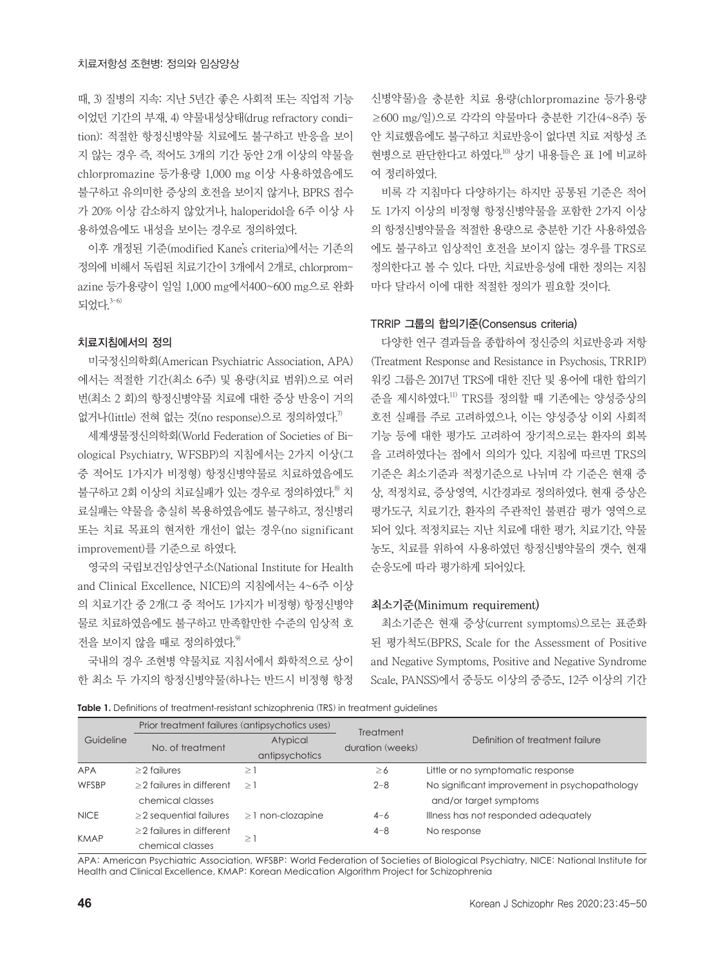때, 3) 질병의 지속: 지난 5년간 좋은 사회적 또는 직업적 기능 이었던 기간의 부재, 4) 약물내성상태(drug refractory condition): 적절한 항정신병약물 치료에도 불구하고 반응을 보이 지 않는 경우 즉, 적어도 3개의 기간 동안 2개 이상의 약물을 chlorpromazine 등가용량 1,000 mg 이상 사용하였음에도 불구하고 유의미한 증상의 호전을 보이지 않거나, BPRS 점수 가 20% 이상 감소하지 않았거나, haloperidol을 6주 이상 사 용하였음에도 내성을 보이는 경우로 정의하였다.

이후 개정된 기준(modified Kane's criteria)에서는 기존의 정의에 비해서 독립된 치료기간이 3개에서 2개로, chlorpromazine 등가용량이 일일 1,000 mg에서400~600 mg으로 완화 되었다. 3-6)

#### 치료지침에서의 정의

미국정신의학회(American Psychiatric Association, APA) 에서는 적절한 기간(최소 6주) 및 용량(치료 범위)으로 여러 번(최소 2 회)의 항정신병약물 치료에 대한 증상 반응이 거의 없거나(little) 전혀 없는 것(no response)으로 정의하였다.<sup>7)</sup>

세계생물정신의학회(World Federation of Societies of Biological Psychiatry, WFSBP)의 지침에서는 2가지 이상(그 중 적어도 1가지가 비정형) 항정신병약물로 치료하였음에도 불구하고 2회 이상의 치료실패가 있는 경우로 정의하였다.<sup>8</sup> 치 료실패는 약물을 충실히 복용하였음에도 불구하고, 정신병리 또는 치료 목표의 현저한 개선이 없는 경우(no significant improvement)를 기준으로 하였다.

영국의 국립보건임상연구소(National Institute for Health and Clinical Excellence, NICE)의 지침에서는 4~6주 이상 의 치료기간 중 2개(그 중 적어도 1가지가 비정형) 항정신병약 물로 치료하였음에도 불구하고 만족할만한 수준의 임상적 호 전을 보이지 않을 때로 정의하였다. 9)

국내의 경우 조현병 약물치료 지침서에서 화학적으로 상이 한 최소 두 가지의 항정신병약물(하나는 반드시 비정형 항정 신병약물)을 충분한 치료 용량(chlorpromazine 등가용량 ≥600 mg/일)으로 각각의 약물마다 충분한 기간(4~8주) 동 안 치료했음에도 불구하고 치료반응이 없다면 치료 저항성 조 현병으로 판단한다고 하였다.<sup>10)</sup> 상기 내용들은 표 1에 비교하 여 정리하였다.

비록 각 지침마다 다양하기는 하지만 공통된 기준은 적어 도 1가지 이상의 비정형 항정신병약물을 포함한 2가지 이상 의 항정신병약물을 적절한 용량으로 충분한 기간 사용하였음 에도 불구하고 임상적인 호전을 보이지 않는 경우를 TRS로 정의한다고 볼 수 있다. 다만, 치료반응성에 대한 정의는 지침 마다 달라서 이에 대한 적절한 정의가 필요할 것이다.

#### TRRIP 그룹의 합의기준(Consensus criteria)

다양한 연구 결과들을 종합하여 정신증의 치료반응과 저항 (Treatment Response and Resistance in Psychosis, TRRIP) 워킹 그룹은 2017년 TRS에 대한 진단 및 용어에 대한 합의기 준을 제시하였다. 11) TRS를 정의할 때 기존에는 양성증상의 호전 실패를 주로 고려하였으나, 이는 양성증상 이외 사회적 기능 등에 대한 평가도 고려하여 장기적으로는 환자의 회복 을 고려하였다는 점에서 의의가 있다. 지침에 따르면 TRS의 기준은 최소기준과 적정기준으로 나뉘며 각 기준은 현재 증 상, 적정치료, 증상영역, 시간경과로 정의하였다. 현재 증상은 평가도구, 치료기간, 환자의 주관적인 불편감 평가 영역으로 되어 있다. 적정치료는 지난 치료에 대한 평가, 치료기간, 약물 농도, 치료를 위하여 사용하였던 항정신병약물의 갯수, 현재 순응도에 따라 평가하게 되어있다.

#### 최소기준(Minimum requirement)

최소기준은 현재 증상(current symptoms)으로는 표준화 된 평가척도(BPRS, Scale for the Assessment of Positive and Negative Symptoms, Positive and Negative Syndrome Scale, PANSS)에서 중등도 이상의 중증도, 12주 이상의 기간

**Table 1.** Definitions of treatment-resistant schizophrenia (TRS) in treatment guidelines

| Guideline   | Prior treatment failures (antipsychotics uses) |                        |                                      |                                               |
|-------------|------------------------------------------------|------------------------|--------------------------------------|-----------------------------------------------|
|             | No. of treatment                               | Atypical               | <b>Treatment</b><br>duration (weeks) | Definition of treatment failure               |
|             |                                                | antipsychotics         |                                      |                                               |
| <b>APA</b>  | $\geq$ 2 failures                              | ≥ !                    | $\geq 6$                             | Little or no symptomatic response             |
| WFSBP       | $\geq$ 2 failures in different                 | $\geq$ .               | $2 - 8$                              | No significant improvement in psychopathology |
|             | chemical classes                               |                        |                                      | and/or target symptoms                        |
| <b>NICE</b> | $\geq$ 2 sequential failures                   | $\geq$ 1 non-clozapine | $4 - 6$                              | Illness has not responded adequately          |
| <b>KMAP</b> | $\geq$ 2 failures in different                 | $\geq$                 | $4 - 8$                              | No response                                   |
|             | chemical classes                               |                        |                                      |                                               |

APA: American Psychiatric Association, WFSBP: World Federation of Societies of Biological Psychiatry, NICE: National Institute for Health and Clinical Excellence, KMAP: Korean Medication Algorithm Project for Schizophrenia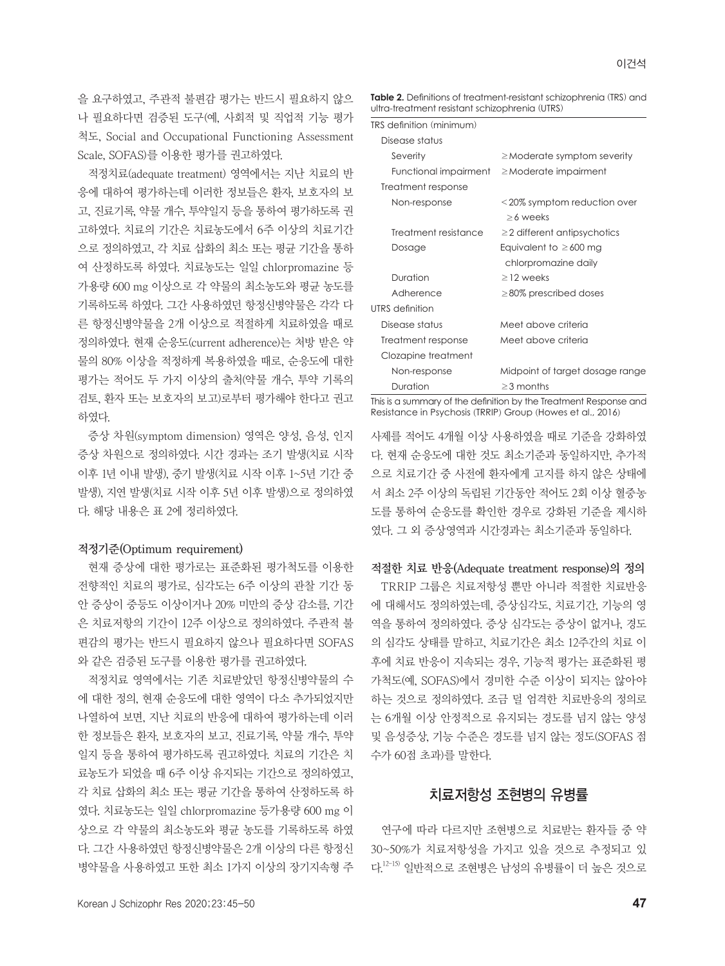을 요구하였고, 주관적 불편감 평가는 반드시 필요하지 않으 나 필요하다면 검증된 도구(예, 사회적 및 직업적 기능 평가 척도, Social and Occupational Functioning Assessment Scale, SOFAS)를 이용한 평가를 권고하였다.

적정치료(adequate treatment) 영역에서는 지난 치료의 반 응에 대하여 평가하는데 이러한 정보들은 환자, 보호자의 보 고, 진료기록, 약물 개수, 투약일지 등을 통하여 평가하도록 권 고하였다. 치료의 기간은 치료농도에서 6주 이상의 치료기간 으로 정의하였고, 각 치료 삽화의 최소 또는 평균 기간을 통하 여 산정하도록 하였다. 치료농도는 일일 chlorpromazine 등 가용량 600 mg 이상으로 각 약물의 최소농도와 평균 농도를 기록하도록 하였다. 그간 사용하였던 항정신병약물은 각각 다 른 항정신병약물을 2개 이상으로 적절하게 치료하였을 때로 정의하였다. 현재 순응도(current adherence)는 처방 받은 약 물의 80% 이상을 적정하게 복용하였을 때로, 순응도에 대한 평가는 적어도 두 가지 이상의 출처(약물 개수, 투약 기록의 검토, 환자 또는 보호자의 보고)로부터 평가해야 한다고 권고 하였다.

증상 차원(symptom dimension) 영역은 양성, 음성, 인지 증상 차원으로 정의하였다. 시간 경과는 조기 발생(치료 시작 이후 1년 이내 발생), 중기 발생(치료 시작 이후 1~5년 기간 중 발생), 지연 발생(치료 시작 이후 5년 이후 발생)으로 정의하였 다. 해당 내용은 표 2에 정리하였다.

#### 적정기준(Optimum requirement)

현재 증상에 대한 평가로는 표준화된 평가척도를 이용한 전향적인 치료의 평가로, 심각도는 6주 이상의 관찰 기간 동 안 증상이 중등도 이상이거나 20% 미만의 증상 감소를, 기간 은 치료저항의 기간이 12주 이상으로 정의하였다. 주관적 불 편감의 평가는 반드시 필요하지 않으나 필요하다면 SOFAS 와 같은 검증된 도구를 이용한 평가를 권고하였다.

적정치료 영역에서는 기존 치료받았던 항정신병약물의 수 에 대한 정의, 현재 순응도에 대한 영역이 다소 추가되었지만 나열하여 보면, 지난 치료의 반응에 대하여 평가하는데 이러 한 정보들은 환자, 보호자의 보고, 진료기록, 약물 개수, 투약 일지 등을 통하여 평가하도록 권고하였다. 치료의 기간은 치 료농도가 되었을 때 6주 이상 유지되는 기간으로 정의하였고, 각 치료 삽화의 최소 또는 평균 기간을 통하여 산정하도록 하 였다. 치료농도는 일일 chlorpromazine 등가용량 600 mg 이 상으로 각 약물의 최소농도와 평균 농도를 기록하도록 하였 다. 그간 사용하였던 항정신병약물은 2개 이상의 다른 항정신 병약물을 사용하였고 또한 최소 1가지 이상의 장기지속형 주 **Table 2.** Definitions of treatment-resistant schizophrenia (TRS) and ultra-treatment resistant schizophrenia (UTRS)

| TRS definition (minimum) |                                                                                                                                                                                                                                   |  |  |
|--------------------------|-----------------------------------------------------------------------------------------------------------------------------------------------------------------------------------------------------------------------------------|--|--|
| Disease status           |                                                                                                                                                                                                                                   |  |  |
| Severity                 | $\geq$ Moderate symptom severity                                                                                                                                                                                                  |  |  |
|                          | Functional impairment $\geq$ Moderate impairment                                                                                                                                                                                  |  |  |
| Treatment response       |                                                                                                                                                                                                                                   |  |  |
| Non-response             | <20% symptom reduction over<br>$>6$ weeks                                                                                                                                                                                         |  |  |
| Treatment resistance     | $\geq$ 2 different antipsychotics                                                                                                                                                                                                 |  |  |
| Dosage                   | Equivalent to $\geq 600$ mg                                                                                                                                                                                                       |  |  |
|                          | chlorpromazine daily                                                                                                                                                                                                              |  |  |
| Duration                 | $\geq$ 12 weeks                                                                                                                                                                                                                   |  |  |
| Adherence                | $\geq$ 80% prescribed doses                                                                                                                                                                                                       |  |  |
| UTRS definition          |                                                                                                                                                                                                                                   |  |  |
| Disease status           | Meet above criteria                                                                                                                                                                                                               |  |  |
| Treatment response       | Meet above criteria                                                                                                                                                                                                               |  |  |
| Clozapine treatment      |                                                                                                                                                                                                                                   |  |  |
| Non-response             | Midpoint of target dosage range                                                                                                                                                                                                   |  |  |
| Duration                 | $\geq$ 3 months                                                                                                                                                                                                                   |  |  |
|                          | $\mathbf{r}$ , and the contract of the contract of the contract of the contract of the contract of the contract of the contract of the contract of the contract of the contract of the contract of the contract of the contract o |  |  |

This is a summary of the definition by the Treatment Response and Resistance in Psychosis (TRRIP) Group (Howes et al., 2016)

사제를 적어도 4개월 이상 사용하였을 때로 기준을 강화하였 다. 현재 순응도에 대한 것도 최소기준과 동일하지만, 추가적 으로 치료기간 중 사전에 환자에게 고지를 하지 않은 상태에 서 최소 2주 이상의 독립된 기간동안 적어도 2회 이상 혈중농 도를 통하여 순응도를 확인한 경우로 강화된 기준을 제시하 였다. 그 외 증상영역과 시간경과는 최소기준과 동일하다.

#### 적절한 치료 반응(Adequate treatment response)의 정의

TRRIP 그룹은 치료저항성 뿐만 아니라 적절한 치료반응 에 대해서도 정의하였는데, 증상심각도, 치료기간, 기능의 영 역을 통하여 정의하였다. 증상 심각도는 증상이 없거나, 경도 의 심각도 상태를 말하고, 치료기간은 최소 12주간의 치료 이 후에 치료 반응이 지속되는 경우, 기능적 평가는 표준화된 평 가척도(예, SOFAS)에서 경미한 수준 이상이 되지는 않아야 하는 것으로 정의하였다. 조금 덜 엄격한 치료반응의 정의로 는 6개월 이상 안정적으로 유지되는 경도를 넘지 않는 양성 및 음성증상, 기능 수준은 경도를 넘지 않는 정도(SOFAS 점 수가 60점 초과)를 말한다.

### 치료저항성 조현병의 유병률

연구에 따라 다르지만 조현병으로 치료받는 환자들 중 약 30~50%가 치료저항성을 가지고 있을 것으로 추정되고 있 다. 12-15) 일반적으로 조현병은 남성의 유병률이 더 높은 것으로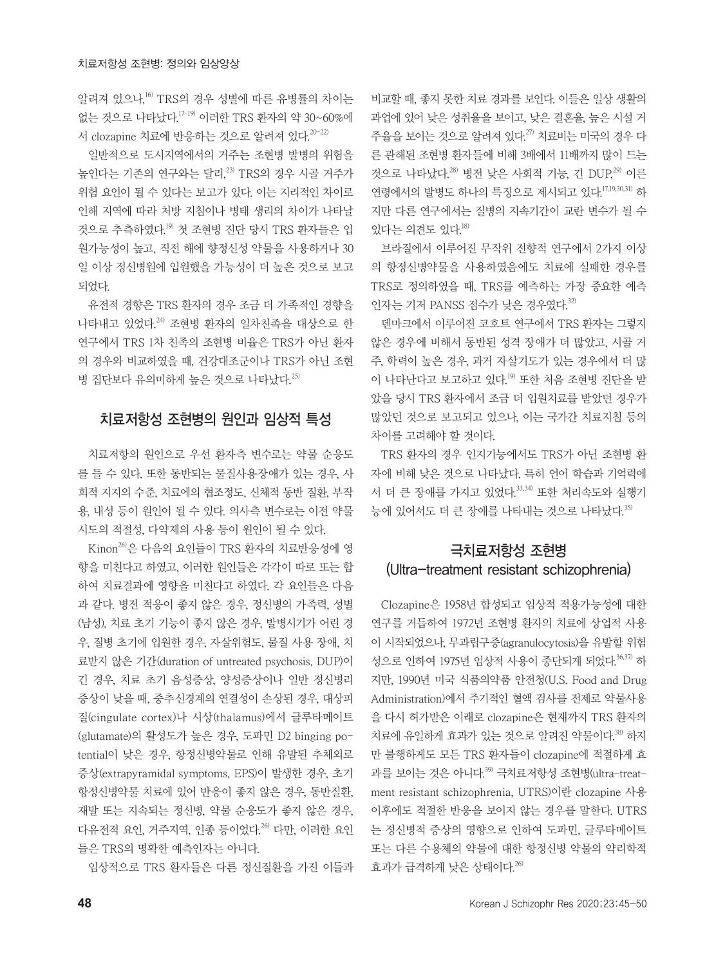알려져 있으나, 16) TRS의 경우 성별에 따른 유병률의 차이는 없는 것으로 나타났다. 17-19) 이러한 TRS 환자의 약 30~60%에 서 clozapine 치료에 반응하는 것으로 알려져 있다.<sup>20-22)</sup>

일반적으로 도시지역에서의 거주는 조현병 발병의 위험을 높인다는 기존의 연구와는 달리,<sup>23)</sup> TRS의 경우 시골 거주가 위험 요인이 될 수 있다는 보고가 있다. 이는 지리적인 차이로 인해 지역에 따라 처방 지침이나 병태 생리의 차이가 나타날 것으로 추측하였다. 19) 첫 조현병 진단 당시 TRS 환자들은 입 원가능성이 높고, 직전 해에 향정신성 약물을 사용하거나 30 일 이상 정신병원에 입원했을 가능성이 더 높은 것으로 보고 되었다.

유전적 경향은 TRS 환자의 경우 조금 더 가족적인 경향을 나타내고 있었다. 24) 조현병 환자의 일차친족을 대상으로 한 연구에서 TRS 1차 친족의 조현병 비율은 TRS가 아닌 환자 의 경우와 비교하였을 때, 건강대조군이나 TRS가 아닌 조현 병 집단보다 유의미하게 높은 것으로 나타났다. 25)

### 치료저항성 조현병의 원인과 임상적 특성

치료저항의 원인으로 우선 환자측 변수로는 약물 순응도 를 들 수 있다. 또한 동반되는 물질사용장애가 있는 경우, 사 회적 지지의 수준, 치료에의 협조정도, 신체적 동반 질환, 부작 용, 내성 등이 원인이 될 수 있다. 의사측 변수로는 이전 약물 시도의 적절성, 다약제의 사용 등이 원인이 될 수 있다.

 $\text{Kinon}^{26}$ 은 다음의 요인들이 TRS 환자의 치료반응성에 영 향을 미친다고 하였고, 이러한 원인들은 각각이 따로 또는 합 하여 치료결과에 영향을 미친다고 하였다. 각 요인들은 다음 과 같다. 병전 적응이 좋지 않은 경우, 정신병의 가족력, 성별 (남성), 치료 초기 기능이 좋지 않은 경우, 발병시기가 어린 경 우, 질병 초기에 입원한 경우, 자살위험도, 물질 사용 장애, 치 료받지 않은 기간(duration of untreated psychosis, DUP)이 긴 경우, 치료 초기 음성증상, 양성증상이나 일반 정신병리 증상이 낮을 때, 중추신경계의 연결성이 손상된 경우, 대상피 질(cingulate cortex)나 시상(thalamus)에서 글루타메이트 (glutamate)의 활성도가 높은 경우, 도파민 D2 binging potential이 낮은 경우, 항정신병약물로 인해 유발된 추체외로 증상(extrapyramidal symptoms, EPS)이 발생한 경우, 초기 항정신병약물 치료에 있어 반응이 좋지 않은 경우, 동반질환, 재발 또는 지속되는 정신병, 약물 순응도가 좋지 않은 경우, 다유전적 요인, 거주지역, 인종 등이었다. 26) 다만, 이러한 요인 들은 TRS의 명확한 예측인자는 아니다.

임상적으로 TRS 환자들은 다른 정신질환을 가진 이들과

비교할 때, 좋지 못한 치료 경과를 보인다. 이들은 일상 생활의 과업에 있어 낮은 성취율을 보이고, 낮은 결혼율, 높은 시설 거 주율을 보이는 것으로 알려져 있다. 27) 치료비는 미국의 경우 다 른 관해된 조현병 환자들에 비해 3배에서 11배까지 많이 드는 것으로 나타났다.<sup>28)</sup> 병전 낮은 사회적 기능, 긴 DUP,<sup>29)</sup> 이른 연령에서의 발병도 하나의 특징으로 제시되고 있다. 17,19,30,31) 하 지만 다른 연구에서는 질병의 지속기간이 교란 변수가 될 수 있다는 의견도 있다. 18)

브라질에서 이루어진 무작위 전향적 연구에서 2가지 이상 의 항정신병약물을 사용하였음에도 치료에 실패한 경우를 TRS로 정의하였을 때, TRS를 예측하는 가장 중요한 예측 인자는 기저 PANSS 점수가 낮은 경우였다. 32)

덴마크에서 이루어진 코호트 연구에서 TRS 환자는 그렇지 않은 경우에 비해서 동반된 성격 장애가 더 많았고, 시골 거 주, 학력이 높은 경우, 과거 자살기도가 있는 경우에서 더 많 이 나타난다고 보고하고 있다. 19) 또한 처음 조현병 진단을 받 았을 당시 TRS 환자에서 조금 더 입원치료를 받았던 경우가 많았던 것으로 보고되고 있으나, 이는 국가간 치료지침 등의 차이를 고려해야 할 것이다.

TRS 환자의 경우 인지기능에서도 TRS가 아닌 조현병 환 자에 비해 낮은 것으로 나타났다. 특히 언어 학습과 기억력에 서 더 큰 장애를 가지고 있었다. 33,34) 또한 처리속도와 실행기 능에 있어서도 더 큰 장애를 나타내는 것으로 나타났다. 35)

## 극치료저항성 조현병 (Ultra-treatment resistant schizophrenia)

Clozapine은 1958년 합성되고 임상적 적용가능성에 대한 연구를 거듭하여 1972년 조현병 환자의 치료에 상업적 사용 이 시작되었으나, 무과립구증(agranulocytosis)을 유발할 위험 성으로 인하여 1975년 임상적 사용이 중단되게 되었다. 36,37) 하 지만, 1990년 미국 식품의약품 안전청(U.S. Food and Drug Administration)에서 주기적인 혈액 검사를 전제로 약물사용 을 다시 허가받은 이래로 clozapine은 현재까지 TRS 환자의 치료에 유일하게 효과가 있는 것으로 알려진 약물이다. 38) 하지 만 불행하게도 모든 TRS 환자들이 clozapine에 적절하게 효 과를 보이는 것은 아니다. 39) 극치료저항성 조현병(ultra-treatment resistant schizophrenia, UTRS)이란 clozapine 사용 이후에도 적절한 반응을 보이지 않는 경우를 말한다. UTRS 는 정신병적 증상의 영향으로 인하여 도파민, 글루타메이트 또는 다른 수용체의 약물에 대한 항정신병 약물의 약리학적 효과가 급격하게 낮은 상태이다. 26)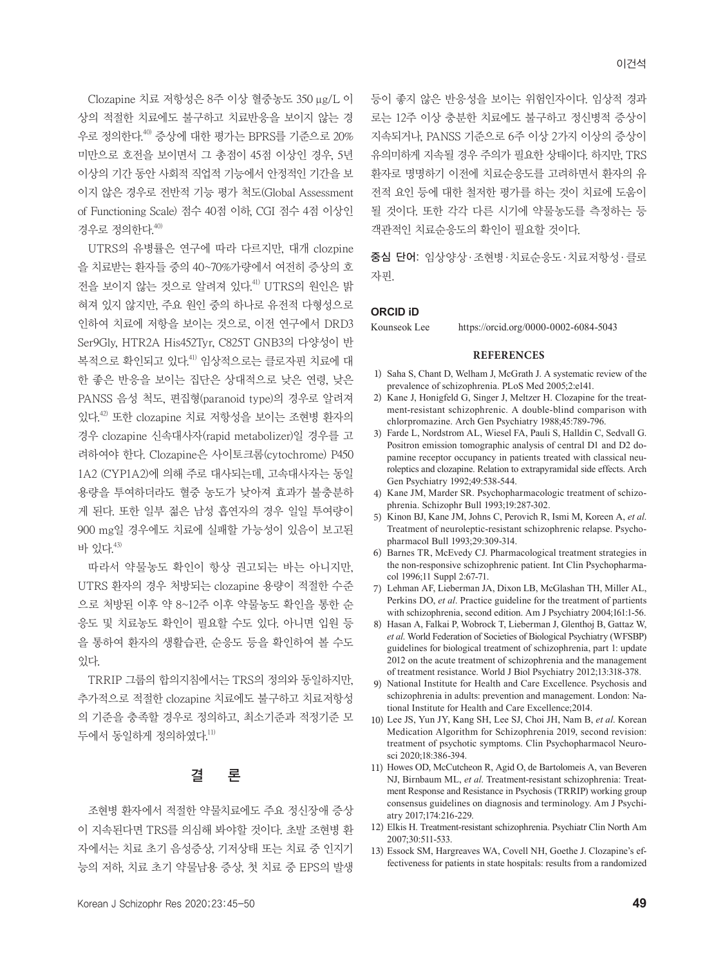Clozapine 치료 저항성은 8주 이상 혈중농도 350 μg/L 이 상의 적절한 치료에도 불구하고 치료반응을 보이지 않는 경 우로 정의한다. 40) 증상에 대한 평가는 BPRS를 기준으로 20% 미만으로 호전을 보이면서 그 총점이 45점 이상인 경우, 5년 이상의 기간 동안 사회적 직업적 기능에서 안정적인 기간을 보 이지 않은 경우로 전반적 기능 평가 척도(Global Assessment of Functioning Scale) 점수 40점 이하, CGI 점수 4점 이상인 경우로 정의한다. 40)

UTRS의 유병률은 연구에 따라 다르지만, 대개 clozpine 을 치료받는 환자들 중의 40~70%가량에서 여전히 증상의 호 전을 보이지 않는 것으로 알려져 있다. 41) UTRS의 원인은 밝 혀져 있지 않지만, 주요 원인 중의 하나로 유전적 다형성으로 인하여 치료에 저항을 보이는 것으로, 이전 연구에서 DRD3 Ser9Gly, HTR2A His452Tyr, C825T GNB3의 다양성이 반 복적으로 확인되고 있다.<sup>41)</sup> 임상적으로는 클로자핀 치료에 대 한 좋은 반응을 보이는 집단은 상대적으로 낮은 연령, 낮은 PANSS 음성 척도, 편집형(paranoid type)의 경우로 알려져 있다. 42) 또한 clozapine 치료 저항성을 보이는 조현병 환자의 경우 clozapine 신속대사자(rapid metabolizer)일 경우를 고 려하여야 한다. Clozapine은 사이토크롬(cytochrome) P450 1A2 (CYP1A2)에 의해 주로 대사되는데, 고속대사자는 동일 용량을 투여하더라도 혈중 농도가 낮아져 효과가 불충분하 게 된다. 또한 일부 젊은 남성 흡연자의 경우 일일 투여량이 900 mg일 경우에도 치료에 실패할 가능성이 있음이 보고된 바 있다. 43)

따라서 약물농도 확인이 항상 권고되는 바는 아니지만, UTRS 환자의 경우 처방되는 clozapine 용량이 적절한 수준 으로 처방된 이후 약 8~12주 이후 약물농도 확인을 통한 순 응도 및 치료농도 확인이 필요할 수도 있다. 아니면 입원 등 을 통하여 환자의 생활습관, 순응도 등을 확인하여 볼 수도 있다.

TRRIP 그룹의 합의지침에서는 TRS의 정의와 동일하지만, 추가적으로 적절한 clozapine 치료에도 불구하고 치료저항성 의 기준을 충족할 경우로 정의하고, 최소기준과 적정기준 모 두에서 동일하게 정의하였다. 11)

### 결 론

조현병 환자에서 적절한 약물치료에도 주요 정신장애 증상 이 지속된다면 TRS를 의심해 봐야할 것이다. 초발 조현병 환 자에서는 치료 초기 음성증상, 기저상태 또는 치료 중 인지기 능의 저하, 치료 초기 약물남용 증상, 첫 치료 중 EPS의 발생 등이 좋지 않은 반응성을 보이는 위험인자이다. 임상적 경과 로는 12주 이상 충분한 치료에도 불구하고 정신병적 증상이 지속되거나, PANSS 기준으로 6주 이상 2가지 이상의 증상이 유의미하게 지속될 경우 주의가 필요한 상태이다. 하지만, TRS 환자로 명명하기 이전에 치료순응도를 고려하면서 환자의 유 전적 요인 등에 대한 철저한 평가를 하는 것이 치료에 도움이 될 것이다. 또한 각각 다른 시기에 약물농도를 측정하는 등 객관적인 치료순응도의 확인이 필요할 것이다.

중심 단어: 임상양상·조현병·치료순응도·치료저항성·클로 자핀.

#### **ORCID iD**

Kounseok Lee https://orcid.org/0000-0002-6084-5043

#### **REFERENCES**

- 1) Saha S, Chant D, Welham J, McGrath J. A systematic review of the prevalence of schizophrenia. PLoS Med 2005;2:e141.
- 2) Kane J, Honigfeld G, Singer J, Meltzer H. Clozapine for the treatment-resistant schizophrenic. A double-blind comparison with chlorpromazine. Arch Gen Psychiatry 1988;45:789-796.
- 3) Farde L, Nordstrom AL, Wiesel FA, Pauli S, Halldin C, Sedvall G. Positron emission tomographic analysis of central D1 and D2 dopamine receptor occupancy in patients treated with classical neuroleptics and clozapine. Relation to extrapyramidal side effects. Arch Gen Psychiatry 1992;49:538-544.
- 4) Kane JM, Marder SR. Psychopharmacologic treatment of schizophrenia. Schizophr Bull 1993;19:287-302.
- 5) Kinon BJ, Kane JM, Johns C, Perovich R, Ismi M, Koreen A, *et al*. Treatment of neuroleptic-resistant schizophrenic relapse. Psychopharmacol Bull 1993;29:309-314.
- 6) Barnes TR, McEvedy CJ. Pharmacological treatment strategies in the non-responsive schizophrenic patient. Int Clin Psychopharmacol 1996;11 Suppl 2:67-71.
- 7) Lehman AF, Lieberman JA, Dixon LB, McGlashan TH, Miller AL, Perkins DO, *et al*. Practice guideline for the treatment of partients with schizophrenia, second edition. Am J Psychiatry 2004;161:1-56.
- 8) Hasan A, Falkai P, Wobrock T, Lieberman J, Glenthoj B, Gattaz W, *et al*. World Federation of Societies of Biological Psychiatry (WFSBP) guidelines for biological treatment of schizophrenia, part 1: update 2012 on the acute treatment of schizophrenia and the management of treatment resistance. World J Biol Psychiatry 2012;13:318-378.
- 9) National Institute for Health and Care Excellence. Psychosis and schizophrenia in adults: prevention and management. London: National Institute for Health and Care Excellence;2014.
- 10) Lee JS, Yun JY, Kang SH, Lee SJ, Choi JH, Nam B, *et al*. Korean Medication Algorithm for Schizophrenia 2019, second revision: treatment of psychotic symptoms. Clin Psychopharmacol Neurosci 2020;18:386-394.
- 11) Howes OD, McCutcheon R, Agid O, de Bartolomeis A, van Beveren NJ, Birnbaum ML, *et al*. Treatment-resistant schizophrenia: Treatment Response and Resistance in Psychosis (TRRIP) working group consensus guidelines on diagnosis and terminology. Am J Psychiatry 2017;174:216-229.
- 12) Elkis H. Treatment-resistant schizophrenia. Psychiatr Clin North Am 2007;30:511-533.
- 13) Essock SM, Hargreaves WA, Covell NH, Goethe J. Clozapine's effectiveness for patients in state hospitals: results from a randomized